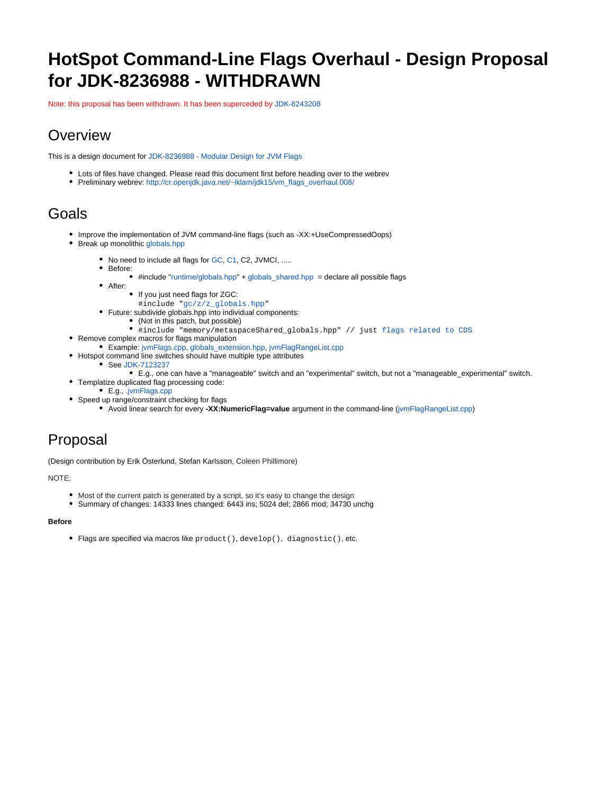# **HotSpot Command-Line Flags Overhaul - Design Proposal for JDK-8236988 - WITHDRAWN**

Note: this proposal has been withdrawn. It has been superceded by [JDK-8243208](https://bugs.openjdk.java.net/browse/JDK-8243208)

### **Overview**

This is a design document for [JDK-8236988 - Modular Design for JVM Flags](https://bugs.openjdk.java.net/browse/JDK-8236988)

- Lots of files have changed. Please read this document first before heading over to the webrev
- Preliminary webrev: [http://cr.openjdk.java.net/~iklam/jdk15/vm\\_flags\\_overhaul.008/](http://cr.openjdk.java.net/~iklam/jdk15/vm_flags_overhaul.008/)

### Goals

- Improve the implementation of JVM command-line flags (such as -XX:+UseCompressedOops)
- Break up monolithic [globals.hpp](http://hg.openjdk.java.net/jdk/jdk/file/5ac19bd3a1e2/src/hotspot/share/runtime/globals.hpp#l115)
	- No need to include all flags for [GC](http://hg.openjdk.java.net/jdk/jdk/file/ebce016b7358/src/hotspot/share/gc/shared/gc_globals.hpp#l49), [C1](http://hg.openjdk.java.net/jdk/jdk/file/ebce016b7358/src/hotspot/share/c1/c1_globals.hpp#l37), C2, JVMCI, .....
		- Before:
		- #include "[runtime/globals.hpp](http://hg.openjdk.java.net/jdk/jdk/file/5ac19bd3a1e2/src/hotspot/share/runtime/globals.hpp#l2495)" + [globals\\_shared.hpp](http://hg.openjdk.java.net/jdk/jdk/file/5ac19bd3a1e2/src/hotspot/share/runtime/globals_shared.hpp#l126) = declare all possible flags • After:
			- If you just need flags for ZGC:
				- #include "[gc/z/z\\_globals.hpp](http://cr.openjdk.java.net/~iklam/jdk15/vm_flags_overhaul.008/src/hotspot/share/gc/z/z_globals.hpp.html)"
	- Future: subdivide globals.hpp into individual components:
		- (Not in this patch, but possible)
		- #include "memory/metaspaceShared\_globals.hpp" // just [flags related to CDS](http://hg.openjdk.java.net/jdk/jdk/file/5ac19bd3a1e2/src/hotspot/share/runtime/globals.hpp#l2257)
- Remove complex macros for flags manipulation
- Example: [jvmFlags.cpp,](http://cr.openjdk.java.net/~iklam/jdk15/vm_flags_overhaul.006/src/hotspot/share/runtime/flags/jvmFlag.cpp.cdiff.html#example1) [globals\\_extension.hpp](http://hg.openjdk.java.net/jdk/jdk/file/5ac19bd3a1e2/src/hotspot/share/runtime/globals_extension.hpp#l100), [jvmFlagRangeList.cpp](http://hg.openjdk.java.net/jdk/jdk/file/5ac19bd3a1e2/src/hotspot/share/runtime/flags/jvmFlagRangeList.cpp#l283)
- Hotspot command line switches should have multiple type attributes
	- See [JDK-7123237](https://bugs.openjdk.java.net/browse/JDK-7123237)
		- E.g., one can have a "manageable" switch and an "experimental" switch, but not a "manageable\_experimental" switch.
- Templatize duplicated flag processing code:
- E.g., [jvmFlags.cpp](http://cr.openjdk.java.net/~iklam/design/jvm_flags_overhaul/jvmFlags.cpp.delta.txt) • Speed up range/constraint checking for flags
	- Avoid linear search for every **-XX:NumericFlag=value** argument in the command-line [\(jvmFlagRangeList.cpp](http://hg.openjdk.java.net/jdk/jdk/file/5ac19bd3a1e2/src/hotspot/share/runtime/flags/jvmFlagRangeList.cpp#l339))

### Proposal

(Design contribution by Erik Österlund, Stefan Karlsson, Coleen Phillimore)

NOTE:

- Most of the current patch is generated by a script, so it's easy to change the design
- Summary of changes: 14333 lines changed: 6443 ins; 5024 del; 2866 mod; 34730 unchg

#### **Before**

Flags are specified via macros like product(), develop(), diagnostic(), etc.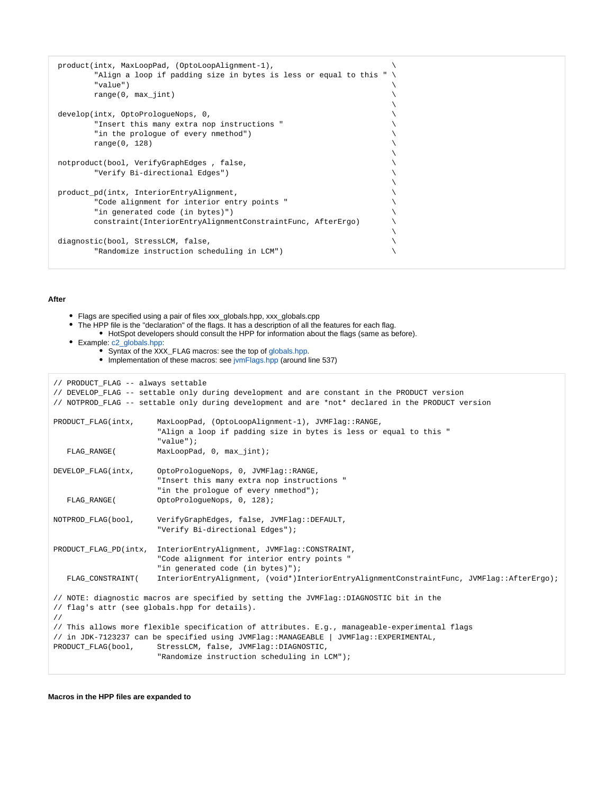| product(intx, MaxLoopPad, (OptoLoopAlignment-1),                  |  |
|-------------------------------------------------------------------|--|
| "Align a loop if padding size in bytes is less or equal to this " |  |
| "value")                                                          |  |
| $range(0, max_jint)$                                              |  |
|                                                                   |  |
| develop(intx, OptoPrologueNops, 0,                                |  |
| "Insert this many extra nop instructions "                        |  |
| "in the prologue of every nmethod")                               |  |
| range $(0, 128)$                                                  |  |
|                                                                   |  |
| notproduct(bool, VerifyGraphEdges, false,                         |  |
| "Verify Bi-directional Edges")                                    |  |
|                                                                   |  |
| product_pd(intx, InteriorEntryAlignment,                          |  |
| "Code alignment for interior entry points "                       |  |
| "in generated code (in bytes)")                                   |  |
| constraint(InteriorEntryAlignmentConstraintFunc, AfterErgo)       |  |
|                                                                   |  |
| diagnostic(bool, StressLCM, false,                                |  |
| "Randomize instruction scheduling in LCM")                        |  |
|                                                                   |  |

#### **After**

- Flags are specified using a pair of files xxx\_globals.hpp, xxx\_globals.cpp
- The HPP file is the "declaration" of the flags. It has a description of all the features for each flag.
	- HotSpot developers should consult the HPP for information about the flags (same as before).
- Example: [c2\\_globals.hpp:](http://cr.openjdk.java.net/~iklam/jdk15/vm_flags_overhaul.008/src/hotspot/share/opto/c2_globals.hpp.html)
	- Syntax of the XXX\_FLAG macros: see the top of [globals.hpp.](http://cr.openjdk.java.net/~iklam/jdk15/vm_flags_overhaul.008/src/hotspot/share/runtime/globals.hpp.html) • Implementation of these macros: see [jvmFlags.hpp \(](http://cr.openjdk.java.net/~iklam/jdk15/vm_flags_overhaul.008/src/hotspot/share/runtime/flags/jvmFlag.hpp.html)around line 537)

```
// PRODUCT_FLAG -- always settable
```

```
// DEVELOP_FLAG -- settable only during development and are constant in the PRODUCT version
// NOTPROD_FLAG -- settable only during development and are *not* declared in the PRODUCT version
PRODUCT_FLAG(intx, MaxLoopPad, (OptoLoopAlignment-1), JVMFlag::RANGE,
                       "Align a loop if padding size in bytes is less or equal to this "
                       "value");
  FLAG_RANGE( MaxLoopPad, 0, max_jint);
DEVELOP_FLAG(intx, OptoPrologueNops, 0, JVMFlag::RANGE,
                       "Insert this many extra nop instructions "
                      "in the prologue of every nmethod");
  FLAG_RANGE( OptoPrologueNops, 0, 128);
NOTPROD_FLAG(bool, VerifyGraphEdges, false, JVMFlag::DEFAULT,
                       "Verify Bi-directional Edges");
PRODUCT_FLAG_PD(intx, InteriorEntryAlignment, JVMFlag::CONSTRAINT,
                       "Code alignment for interior entry points "
                       "in generated code (in bytes)");
   FLAG_CONSTRAINT( InteriorEntryAlignment, (void*)InteriorEntryAlignmentConstraintFunc, JVMFlag::AfterErgo);
// NOTE: diagnostic macros are specified by setting the JVMFlag::DIAGNOSTIC bit in the
// flag's attr (see globals.hpp for details).
//
// This allows more flexible specification of attributes. E.g., manageable-experimental flags
// in JDK-7123237 can be specified using JVMFlag::MANAGEABLE | JVMFlag::EXPERIMENTAL,
PRODUCT_FLAG(bool, StressLCM, false, JVMFlag::DIAGNOSTIC,
                       "Randomize instruction scheduling in LCM");
```
#### **Macros in the HPP files are expanded to**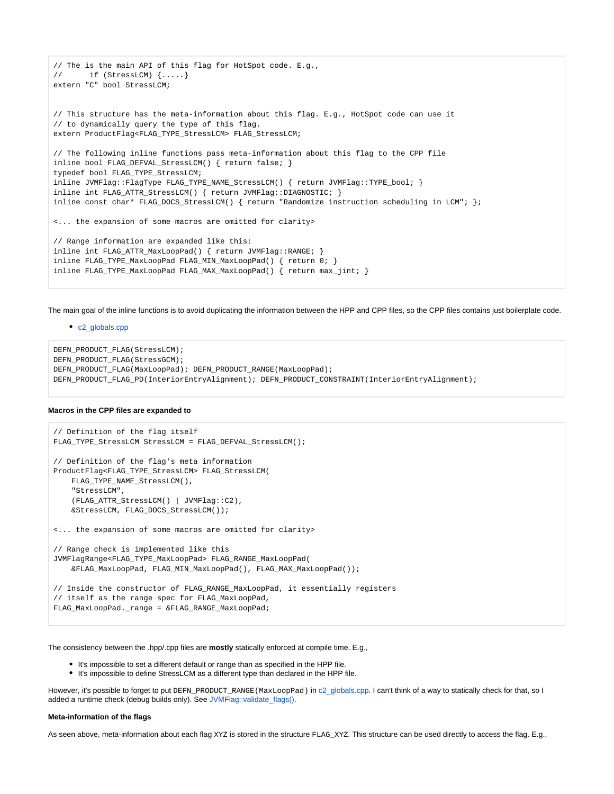```
// The is the main API of this flag for HotSpot code. E.g.,
// if (StressLCM) {.....}
extern "C" bool StressLCM;
// This structure has the meta-information about this flag. E.g., HotSpot code can use it
// to dynamically query the type of this flag.
extern ProductFlag<FLAG_TYPE_StressLCM> FLAG_StressLCM; 
// The following inline functions pass meta-information about this flag to the CPP file
inline bool FLAG_DEFVAL_StressLCM() { return false; }
typedef bool FLAG_TYPE_StressLCM;
inline JVMFlag::FlagType FLAG_TYPE_NAME_StressLCM() { return JVMFlag::TYPE_bool; }
inline int FLAG_ATTR_StressLCM() { return JVMFlag::DIAGNOSTIC; }
inline const char* FLAG_DOCS_StressLCM() { return "Randomize instruction scheduling in LCM"; };
<... the expansion of some macros are omitted for clarity>
// Range information are expanded like this:
inline int FLAG_ATTR_MaxLoopPad() { return JVMFlag::RANGE; }
inline FLAG_TYPE_MaxLoopPad FLAG_MIN_MaxLoopPad() { return 0; }
inline FLAG_TYPE_MaxLoopPad FLAG_MAX_MaxLoopPad() { return max_jint; }
```
The main goal of the inline functions is to avoid duplicating the information between the HPP and CPP files, so the CPP files contains just boilerplate code.

```
c2_globals.cpp
```

```
DEFN_PRODUCT_FLAG(StressLCM);
DEFN_PRODUCT_FLAG(StressGCM);
DEFN_PRODUCT_FLAG(MaxLoopPad); DEFN_PRODUCT_RANGE(MaxLoopPad);
DEFN_PRODUCT_FLAG_PD(InteriorEntryAlignment); DEFN_PRODUCT_CONSTRAINT(InteriorEntryAlignment);
```
#### **Macros in the CPP files are expanded to**

```
// Definition of the flag itself
FLAG_TYPE_StressLCM StressLCM = FLAG_DEFVAL_StressLCM();
// Definition of the flag's meta information
ProductFlag<FLAG_TYPE_StressLCM> FLAG_StressLCM(
    FLAG_TYPE_NAME_StressLCM(),
    "StressLCM",
    (FLAG_ATTR_StressLCM() | JVMFlag::C2),
    &StressLCM, FLAG_DOCS_StressLCM());
<... the expansion of some macros are omitted for clarity>
// Range check is implemented like this
JVMFlagRange<FLAG_TYPE_MaxLoopPad> FLAG_RANGE_MaxLoopPad(
    &FLAG_MaxLoopPad, FLAG_MIN_MaxLoopPad(), FLAG_MAX_MaxLoopPad());
// Inside the constructor of FLAG_RANGE_MaxLoopPad, it essentially registers
// itself as the range spec for FLAG_MaxLoopPad, 
FLAG_MaxLoopPad._range = &FLAG_RANGE_MaxLoopPad;
```
The consistency between the .hpp/.cpp files are **mostly** statically enforced at compile time. E.g.,

- It's impossible to set a different default or range than as specified in the HPP file.
- It's impossible to define StressLCM as a different type than declared in the HPP file.

However, it's possible to forget to put DEFN\_PRODUCT\_RANGE(MaxLoopPad) in [c2\\_globals.cpp.](http://cr.openjdk.java.net/~iklam/jdk15/vm_flags_overhaul.008/src/hotspot/share/opto/c2_globals.cpp.html) I can't think of a way to statically check for that, so I added a runtime check (debug builds only). See [JVMFlag::validate\\_flags\(\).](http://cr.openjdk.java.net/~iklam/jdk15/vm_flags_overhaul.008/src/hotspot/share/runtime/flags/jvmFlag.cpp.html)

#### **Meta-information of the flags**

As seen above, meta-information about each flag XYZ is stored in the structure FLAG\_XYZ. This structure can be used directly to access the flag. E.g.,